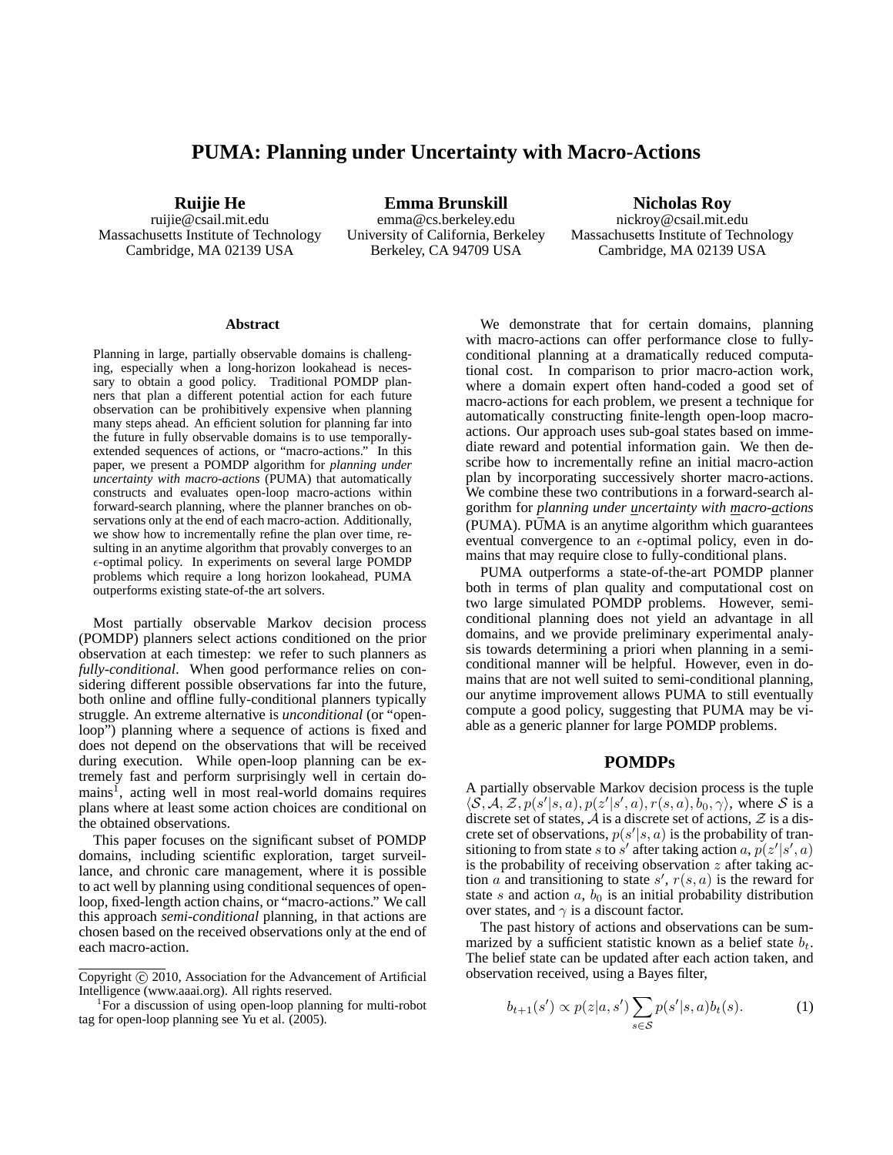# **PUMA: Planning under Uncertainty with Macro-Actions**

**Ruijie He**

ruijie@csail.mit.edu Massachusetts Institute of Technology Cambridge, MA 02139 USA

**Emma Brunskill** emma@cs.berkeley.edu University of California, Berkeley Berkeley, CA 94709 USA

**Nicholas Roy** nickroy@csail.mit.edu Massachusetts Institute of Technology Cambridge, MA 02139 USA

#### **Abstract**

Planning in large, partially observable domains is challenging, especially when a long-horizon lookahead is necessary to obtain a good policy. Traditional POMDP planners that plan a different potential action for each future observation can be prohibitively expensive when planning many steps ahead. An efficient solution for planning far into the future in fully observable domains is to use temporallyextended sequences of actions, or "macro-actions." In this paper, we present a POMDP algorithm for *planning under uncertainty with macro-actions* (PUMA) that automatically constructs and evaluates open-loop macro-actions within forward-search planning, where the planner branches on observations only at the end of each macro-action. Additionally, we show how to incrementally refine the plan over time, resulting in an anytime algorithm that provably converges to an  $\epsilon$ -optimal policy. In experiments on several large POMDP problems which require a long horizon lookahead, PUMA outperforms existing state-of-the art solvers.

Most partially observable Markov decision process (POMDP) planners select actions conditioned on the prior observation at each timestep: we refer to such planners as *fully-conditional*. When good performance relies on considering different possible observations far into the future, both online and offline fully-conditional planners typically struggle. An extreme alternative is *unconditional* (or "openloop") planning where a sequence of actions is fixed and does not depend on the observations that will be received during execution. While open-loop planning can be extremely fast and perform surprisingly well in certain domains<sup>1</sup>, acting well in most real-world domains requires plans where at least some action choices are conditional on the obtained observations.

This paper focuses on the significant subset of POMDP domains, including scientific exploration, target surveillance, and chronic care management, where it is possible to act well by planning using conditional sequences of openloop, fixed-length action chains, or "macro-actions." We call this approach *semi-conditional* planning, in that actions are chosen based on the received observations only at the end of each macro-action.

We demonstrate that for certain domains, planning with macro-actions can offer performance close to fullyconditional planning at a dramatically reduced computational cost. In comparison to prior macro-action work, where a domain expert often hand-coded a good set of macro-actions for each problem, we present a technique for automatically constructing finite-length open-loop macroactions. Our approach uses sub-goal states based on immediate reward and potential information gain. We then describe how to incrementally refine an initial macro-action plan by incorporating successively shorter macro-actions. We combine these two contributions in a forward-search algorithm for *planning under uncertainty with macro-actions* (PUMA). PUMA is an anytime algorithm which guarantees eventual convergence to an  $\epsilon$ -optimal policy, even in domains that may require close to fully-conditional plans.

PUMA outperforms a state-of-the-art POMDP planner both in terms of plan quality and computational cost on two large simulated POMDP problems. However, semiconditional planning does not yield an advantage in all domains, and we provide preliminary experimental analysis towards determining a priori when planning in a semiconditional manner will be helpful. However, even in domains that are not well suited to semi-conditional planning, our anytime improvement allows PUMA to still eventually compute a good policy, suggesting that PUMA may be viable as a generic planner for large POMDP problems.

### **POMDPs**

A partially observable Markov decision process is the tuple  $\langle \mathcal{S}, \mathcal{A}, \mathcal{Z}, p(s' | s, a), p(z' | s', a), r(s, a), b_0, \gamma \rangle$ , where  $\mathcal{S}$  is a discrete set of states,  $\mathcal A$  is a discrete set of actions,  $\mathcal Z$  is a discrete set of observations,  $p(s'|s, a)$  is the probability of transitioning to from state s to s' after taking action a,  $p(z'|s', a)$ is the probability of receiving observation  $z$  after taking action  $\alpha$  and transitioning to state  $s'$ ,  $r(s, \alpha)$  is the reward for state s and action  $a, b_0$  is an initial probability distribution over states, and  $\gamma$  is a discount factor.

The past history of actions and observations can be summarized by a sufficient statistic known as a belief state  $b_t$ . The belief state can be updated after each action taken, and observation received, using a Bayes filter,

$$
b_{t+1}(s') \propto p(z|a,s') \sum_{s \in \mathcal{S}} p(s'|s,a)b_t(s).
$$
 (1)

Copyright (c) 2010, Association for the Advancement of Artificial Intelligence (www.aaai.org). All rights reserved.

<sup>&</sup>lt;sup>1</sup>For a discussion of using open-loop planning for multi-robot tag for open-loop planning see Yu et al. (2005).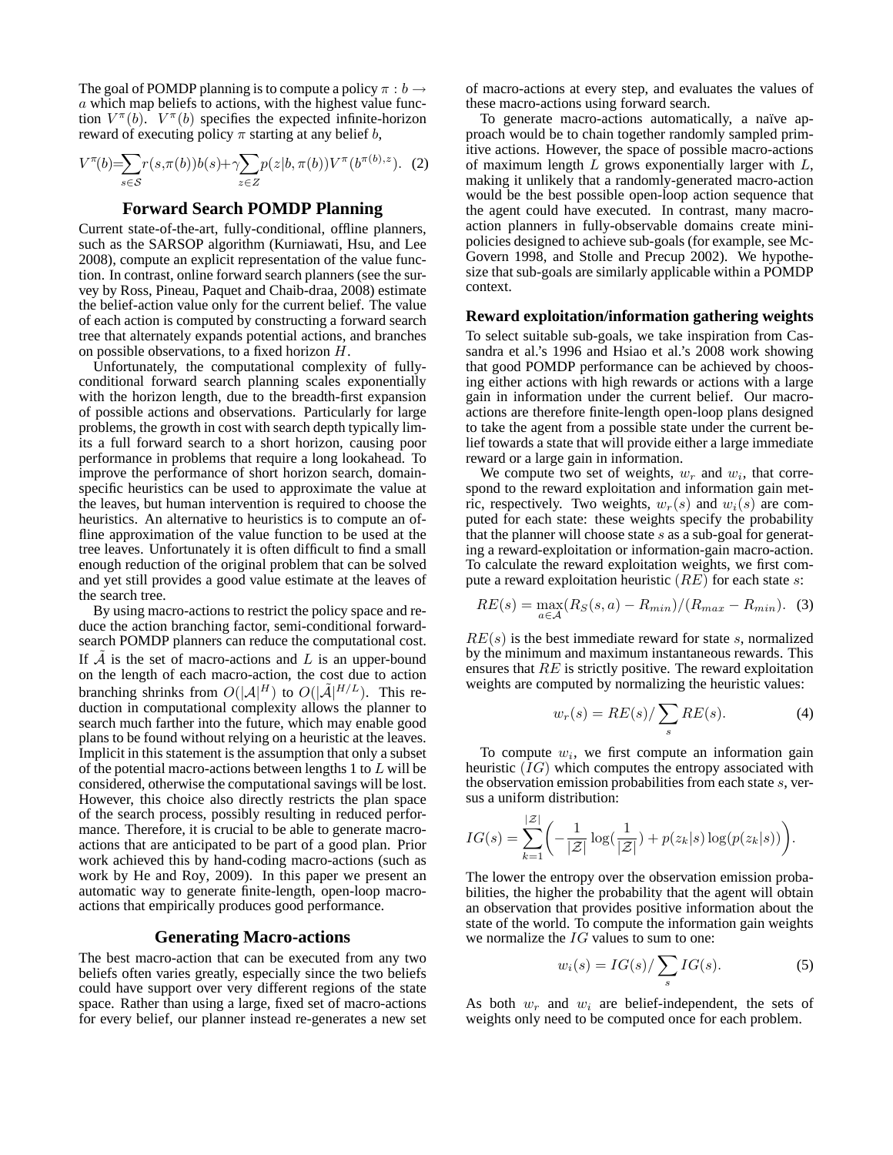The goal of POMDP planning is to compute a policy  $\pi : b \rightarrow$ a which map beliefs to actions, with the highest value function  $V^{\pi}(b)$ .  $V^{\pi}(b)$  specifies the expected infinite-horizon reward of executing policy  $\pi$  starting at any belief b,

$$
V^{\pi}(b) = \sum_{s \in \mathcal{S}} r(s, \pi(b))b(s) + \gamma \sum_{z \in Z} p(z|b, \pi(b))V^{\pi}(b^{\pi(b), z}). \tag{2}
$$

# **Forward Search POMDP Planning**

Current state-of-the-art, fully-conditional, offline planners, such as the SARSOP algorithm (Kurniawati, Hsu, and Lee 2008), compute an explicit representation of the value function. In contrast, online forward search planners (see the survey by Ross, Pineau, Paquet and Chaib-draa, 2008) estimate the belief-action value only for the current belief. The value of each action is computed by constructing a forward search tree that alternately expands potential actions, and branches on possible observations, to a fixed horizon H.

Unfortunately, the computational complexity of fullyconditional forward search planning scales exponentially with the horizon length, due to the breadth-first expansion of possible actions and observations. Particularly for large problems, the growth in cost with search depth typically limits a full forward search to a short horizon, causing poor performance in problems that require a long lookahead. To improve the performance of short horizon search, domainspecific heuristics can be used to approximate the value at the leaves, but human intervention is required to choose the heuristics. An alternative to heuristics is to compute an offline approximation of the value function to be used at the tree leaves. Unfortunately it is often difficult to find a small enough reduction of the original problem that can be solved and yet still provides a good value estimate at the leaves of the search tree.

By using macro-actions to restrict the policy space and reduce the action branching factor, semi-conditional forwardsearch POMDP planners can reduce the computational cost. If  $A$  is the set of macro-actions and  $L$  is an upper-bound on the length of each macro-action, the cost due to action branching shrinks from  $O(|A|^H)$  to  $O(|\tilde{A}|^{H/L})$ . This reduction in computational complexity allows the planner to search much farther into the future, which may enable good plans to be found without relying on a heuristic at the leaves. Implicit in this statement is the assumption that only a subset of the potential macro-actions between lengths 1 to  $L$  will be considered, otherwise the computational savings will be lost. However, this choice also directly restricts the plan space of the search process, possibly resulting in reduced performance. Therefore, it is crucial to be able to generate macroactions that are anticipated to be part of a good plan. Prior work achieved this by hand-coding macro-actions (such as work by He and Roy, 2009). In this paper we present an automatic way to generate finite-length, open-loop macroactions that empirically produces good performance.

# **Generating Macro-actions**

The best macro-action that can be executed from any two beliefs often varies greatly, especially since the two beliefs could have support over very different regions of the state space. Rather than using a large, fixed set of macro-actions for every belief, our planner instead re-generates a new set of macro-actions at every step, and evaluates the values of these macro-actions using forward search.

To generate macro-actions automatically, a naïve approach would be to chain together randomly sampled primitive actions. However, the space of possible macro-actions of maximum length  $L$  grows exponentially larger with  $L$ , making it unlikely that a randomly-generated macro-action would be the best possible open-loop action sequence that the agent could have executed. In contrast, many macroaction planners in fully-observable domains create minipolicies designed to achieve sub-goals (for example, see Mc-Govern 1998, and Stolle and Precup 2002). We hypothesize that sub-goals are similarly applicable within a POMDP context.

### **Reward exploitation/information gathering weights**

To select suitable sub-goals, we take inspiration from Cassandra et al.'s 1996 and Hsiao et al.'s 2008 work showing that good POMDP performance can be achieved by choosing either actions with high rewards or actions with a large gain in information under the current belief. Our macroactions are therefore finite-length open-loop plans designed to take the agent from a possible state under the current belief towards a state that will provide either a large immediate reward or a large gain in information.

We compute two set of weights,  $w_r$  and  $w_i$ , that correspond to the reward exploitation and information gain metric, respectively. Two weights,  $w_r(s)$  and  $w_i(s)$  are computed for each state: these weights specify the probability that the planner will choose state  $s$  as a sub-goal for generating a reward-exploitation or information-gain macro-action. To calculate the reward exploitation weights, we first compute a reward exploitation heuristic  $(RE)$  for each state s:

$$
RE(s) = \max_{a \in \mathcal{A}} (R_S(s, a) - R_{min})/(R_{max} - R_{min}).
$$
 (3)

 $RE(s)$  is the best immediate reward for state s, normalized by the minimum and maximum instantaneous rewards. This ensures that RE is strictly positive. The reward exploitation weights are computed by normalizing the heuristic values:

$$
w_r(s) = RE(s) / \sum_s RE(s).
$$
 (4)

To compute  $w_i$ , we first compute an information gain heuristic (IG) which computes the entropy associated with the observation emission probabilities from each state  $s$ , versus a uniform distribution:

$$
IG(s) = \sum_{k=1}^{|Z|} \left( -\frac{1}{|Z|} \log(\frac{1}{|Z|}) + p(z_k|s) \log(p(z_k|s)) \right).
$$

The lower the entropy over the observation emission probabilities, the higher the probability that the agent will obtain an observation that provides positive information about the state of the world. To compute the information gain weights we normalize the  $IG$  values to sum to one:

$$
w_i(s) = IG(s) / \sum_s IG(s).
$$
 (5)

As both  $w_r$  and  $w_i$  are belief-independent, the sets of weights only need to be computed once for each problem.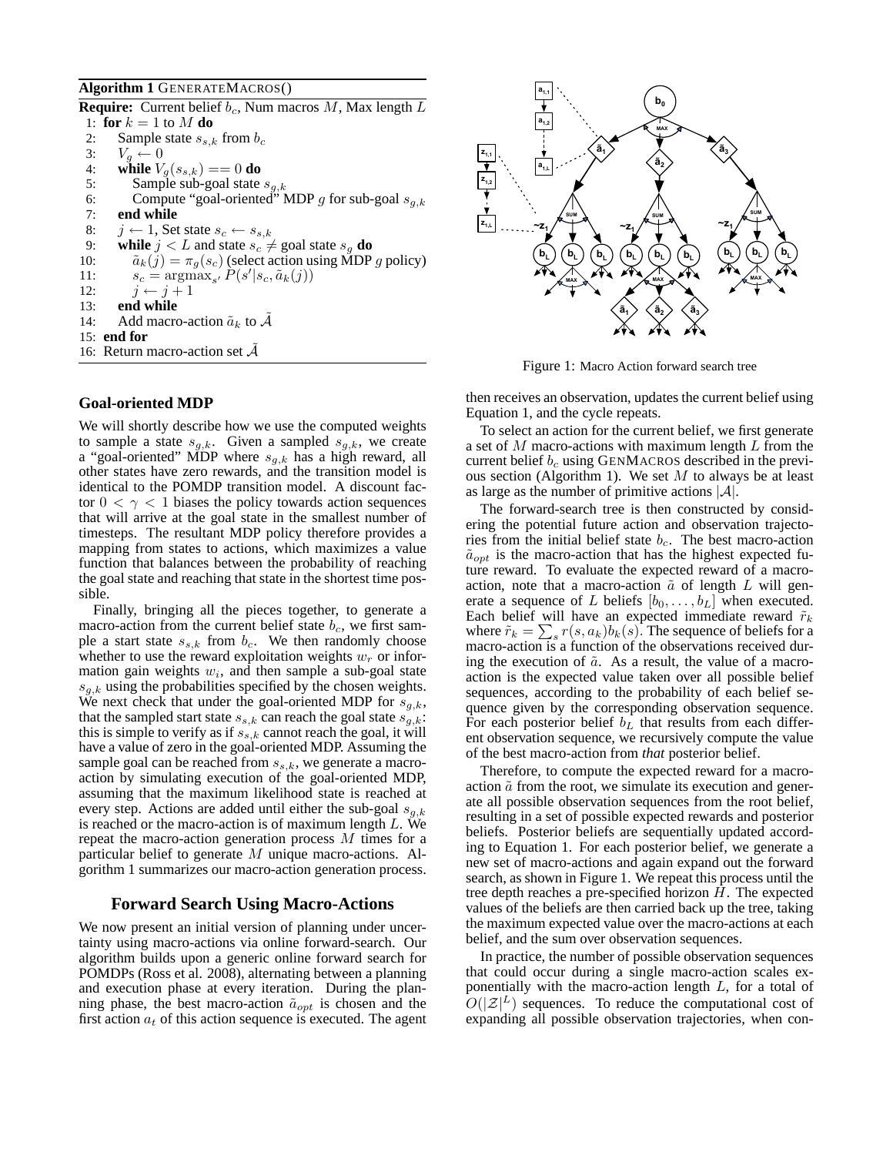### **Algorithm 1** GENERATEMACROS()

**Require:** Current belief  $b_c$ , Num macros M, Max length L 1: **for**  $k = 1$  to M **do** 2: Sample state  $s_{s,k}$  from  $b_c$ 3:  $V_g \leftarrow 0$ <br>4: while  $V_g$ 4: **while**  $V_g(s_{s,k}) == 0$  **do**<br>5: **Sample** sub-goal state 5: Sample sub-goal state  $s_{g,k}$ <br>6: Compute "goal-oriented" N 6: Compute "goal-oriented" MDP g for sub-goal  $s_{g,k}$ <br>7: **end while** end while 8:  $j \leftarrow 1$ , Set state  $s_c \leftarrow s_{s,k}$ 9: **while**  $j < L$  and state  $s_c \neq$  goal state  $s_g$  **do** 10:  $\tilde{a}_k(j) = \pi_g(s_c)$  (select action using MDP g policy) 11:  $s_c = \operatorname{argmax}_{s'} P(s'|s_c, \tilde{a}_k(j))$ 12:  $j \leftarrow j + 1$ 13: **end while** 14: Add macro-action  $\tilde{a}_k$  to A 15: **end for** 16: Return macro-action set  $A$ 

### **Goal-oriented MDP**

We will shortly describe how we use the computed weights to sample a state  $s_{g,k}$ . Given a sampled  $s_{g,k}$ , we create a "goal-oriented" MDP where  $s_{q,k}$  has a high reward, all other states have zero rewards, and the transition model is identical to the POMDP transition model. A discount factor  $0 < \gamma < 1$  biases the policy towards action sequences that will arrive at the goal state in the smallest number of timesteps. The resultant MDP policy therefore provides a mapping from states to actions, which maximizes a value function that balances between the probability of reaching the goal state and reaching that state in the shortest time possible.

Finally, bringing all the pieces together, to generate a macro-action from the current belief state  $b_c$ , we first sample a start state  $s_{s,k}$  from  $b_c$ . We then randomly choose whether to use the reward exploitation weights  $w_r$  or information gain weights  $w_i$ , and then sample a sub-goal state  $s_{q,k}$  using the probabilities specified by the chosen weights. We next check that under the goal-oriented MDP for  $s_{q,k}$ , that the sampled start state  $s_{s,k}$  can reach the goal state  $s_{q,k}$ : this is simple to verify as if  $s_{s,k}$  cannot reach the goal, it will have a value of zero in the goal-oriented MDP. Assuming the sample goal can be reached from  $s_{s,k}$ , we generate a macroaction by simulating execution of the goal-oriented MDP, assuming that the maximum likelihood state is reached at every step. Actions are added until either the sub-goal  $s_{g,k}$ is reached or the macro-action is of maximum length  $L$ . We repeat the macro-action generation process M times for a particular belief to generate M unique macro-actions. Algorithm 1 summarizes our macro-action generation process.

# **Forward Search Using Macro-Actions**

We now present an initial version of planning under uncertainty using macro-actions via online forward-search. Our algorithm builds upon a generic online forward search for POMDPs (Ross et al. 2008), alternating between a planning and execution phase at every iteration. During the planning phase, the best macro-action  $\tilde{a}_{opt}$  is chosen and the first action  $a_t$  of this action sequence is executed. The agent



Figure 1: Macro Action forward search tree

then receives an observation, updates the current belief using Equation 1, and the cycle repeats.

To select an action for the current belief, we first generate a set of M macro-actions with maximum length L from the current belief  $b_c$  using GENMACROS described in the previous section (Algorithm 1). We set  $M$  to always be at least as large as the number of primitive actions  $|\mathcal{A}|$ .

The forward-search tree is then constructed by considering the potential future action and observation trajectories from the initial belief state  $b_c$ . The best macro-action  $\tilde{a}_{opt}$  is the macro-action that has the highest expected future reward. To evaluate the expected reward of a macroaction, note that a macro-action  $\tilde{a}$  of length L will generate a sequence of L beliefs  $[b_0, \ldots, b_L]$  when executed. Each belief will have an expected immediate reward  $\tilde{r}_k$ where  $\tilde{r}_k = \sum_s r(s, a_k) b_k(s)$ . The sequence of beliefs for a macro-action is a function of the observations received during the execution of  $\tilde{a}$ . As a result, the value of a macroaction is the expected value taken over all possible belief sequences, according to the probability of each belief sequence given by the corresponding observation sequence. For each posterior belief  $b<sub>L</sub>$  that results from each different observation sequence, we recursively compute the value of the best macro-action from *that* posterior belief.

Therefore, to compute the expected reward for a macroaction  $\tilde{a}$  from the root, we simulate its execution and generate all possible observation sequences from the root belief, resulting in a set of possible expected rewards and posterior beliefs. Posterior beliefs are sequentially updated according to Equation 1. For each posterior belief, we generate a new set of macro-actions and again expand out the forward search, as shown in Figure 1. We repeat this process until the tree depth reaches a pre-specified horizon  $H$ . The expected values of the beliefs are then carried back up the tree, taking the maximum expected value over the macro-actions at each belief, and the sum over observation sequences.

In practice, the number of possible observation sequences that could occur during a single macro-action scales exponentially with the macro-action length L, for a total of  $O(|\mathcal{Z}|^L)$  sequences. To reduce the computational cost of expanding all possible observation trajectories, when con-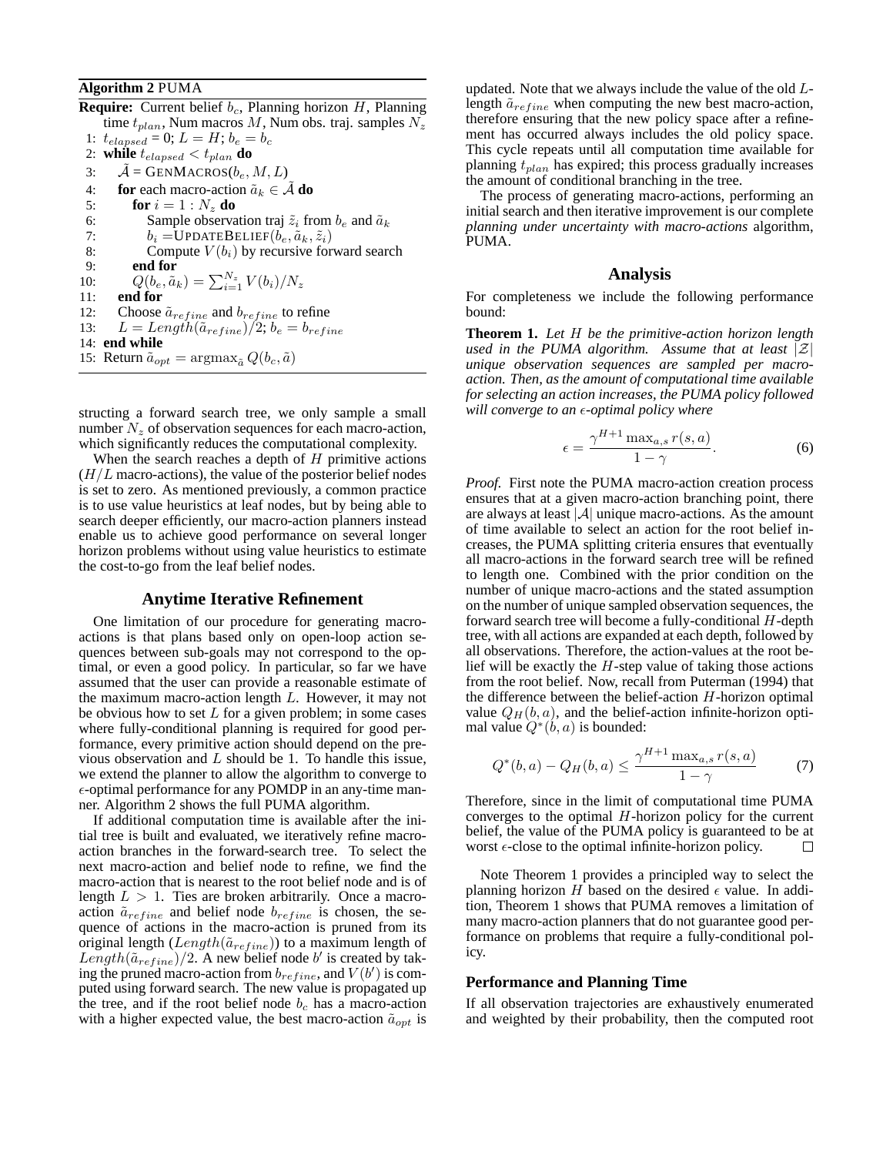### **Algorithm 2** PUMA

**Require:** Current belief  $b_c$ , Planning horizon  $H$ , Planning time  $t_{plan}$ , Num macros M, Num obs. traj. samples  $N_z$ 1:  $t_{elapped} = 0; L = H; b_e = b_c$ 2: **while**  $t_{elapped} < t_{plan}$  **do** 3:  $A = \text{GENMACROS}(b_e, M, L)$ 4: **for** each macro-action  $\tilde{a}_k \in A$  **do**<br>5: **for**  $i = 1 : N_z$  **do** for  $i = 1 : N_z$  do 6: Sample observation traj  $\tilde{z}_i$  from  $b_e$  and  $\tilde{a}_k$ <br>7:  $b_i = \text{UPDATEBELIEF}(b_e, \tilde{a}_k, \tilde{z}_i)$ 7:  $b_i = \text{UPDATEBELIEF}(b_e, \tilde{a}_k, \tilde{z}_i)$ <br>8: Compute  $V(b_i)$  by recursive for 8: Compute  $V(b_i)$  by recursive forward search<br>9: **end for** end for 10:  $Q(b_e, \tilde{a}_k) = \sum_{i=1}^{N_z} V(b_i) / N_z$ 11: **end for** 12: Choose  $\tilde{a}_{refine}$  and  $b_{refine}$  to refine 13:  $L = Length(\tilde{a}_{refine})/2; b_e = b_{refine}$ 14: **end while** 15: Return  $\tilde{a}_{opt} = \arg \max_{\tilde{a}} Q(b_c, \tilde{a})$ 

structing a forward search tree, we only sample a small number  $N_z$  of observation sequences for each macro-action, which significantly reduces the computational complexity.

When the search reaches a depth of  $H$  primitive actions  $(H/L)$  macro-actions), the value of the posterior belief nodes is set to zero. As mentioned previously, a common practice is to use value heuristics at leaf nodes, but by being able to search deeper efficiently, our macro-action planners instead enable us to achieve good performance on several longer horizon problems without using value heuristics to estimate the cost-to-go from the leaf belief nodes.

### **Anytime Iterative Refinement**

One limitation of our procedure for generating macroactions is that plans based only on open-loop action sequences between sub-goals may not correspond to the optimal, or even a good policy. In particular, so far we have assumed that the user can provide a reasonable estimate of the maximum macro-action length  $L$ . However, it may not be obvious how to set  $L$  for a given problem; in some cases where fully-conditional planning is required for good performance, every primitive action should depend on the previous observation and  $L$  should be 1. To handle this issue, we extend the planner to allow the algorithm to converge to  $\epsilon$ -optimal performance for any POMDP in an any-time manner. Algorithm 2 shows the full PUMA algorithm.

If additional computation time is available after the initial tree is built and evaluated, we iteratively refine macroaction branches in the forward-search tree. To select the next macro-action and belief node to refine, we find the macro-action that is nearest to the root belief node and is of length  $L > 1$ . Ties are broken arbitrarily. Once a macroaction  $\tilde{a}_{refine}$  and belief node  $b_{refine}$  is chosen, the sequence of actions in the macro-action is pruned from its original length ( $Length(\tilde{a}_{refine})$ ) to a maximum length of Length( $\tilde{a}_{refine}$ )/2. A new belief node b' is created by taking the pruned macro-action from  $b_{refine}$ , and  $V(b')$  is computed using forward search. The new value is propagated up the tree, and if the root belief node  $b_c$  has a macro-action with a higher expected value, the best macro-action  $\tilde{a}_{opt}$  is updated. Note that we always include the value of the old Llength  $\tilde{a}_{refine}$  when computing the new best macro-action, therefore ensuring that the new policy space after a refinement has occurred always includes the old policy space. This cycle repeats until all computation time available for planning  $t_{plan}$  has expired; this process gradually increases the amount of conditional branching in the tree.

The process of generating macro-actions, performing an initial search and then iterative improvement is our complete *planning under uncertainty with macro-actions* algorithm, PUMA.

#### **Analysis**

For completeness we include the following performance bound:

**Theorem 1.** *Let* H *be the primitive-action horizon length used in the PUMA algorithm. Assume that at least*  $|\mathcal{Z}|$ *unique observation sequences are sampled per macroaction. Then, as the amount of computational time available for selecting an action increases, the PUMA policy followed will converge to an ε-optimal policy where* 

$$
\epsilon = \frac{\gamma^{H+1} \max_{a,s} r(s,a)}{1 - \gamma}.
$$
 (6)

*Proof.* First note the PUMA macro-action creation process ensures that at a given macro-action branching point, there are always at least  $|\mathcal{A}|$  unique macro-actions. As the amount of time available to select an action for the root belief increases, the PUMA splitting criteria ensures that eventually all macro-actions in the forward search tree will be refined to length one. Combined with the prior condition on the number of unique macro-actions and the stated assumption on the number of unique sampled observation sequences, the forward search tree will become a fully-conditional  $H$ -depth tree, with all actions are expanded at each depth, followed by all observations. Therefore, the action-values at the root belief will be exactly the  $H$ -step value of taking those actions from the root belief. Now, recall from Puterman (1994) that the difference between the belief-action  $H$ -horizon optimal value  $Q_H(b, a)$ , and the belief-action infinite-horizon optimal value  $Q^*(b, a)$  is bounded:

$$
Q^*(b, a) - Q_H(b, a) \le \frac{\gamma^{H+1} \max_{a, s} r(s, a)}{1 - \gamma} \tag{7}
$$

Therefore, since in the limit of computational time PUMA converges to the optimal  $H$ -horizon policy for the current belief, the value of the PUMA policy is guaranteed to be at worst  $\epsilon$ -close to the optimal infinite-horizon policy. П

Note Theorem 1 provides a principled way to select the planning horizon H based on the desired  $\epsilon$  value. In addition, Theorem 1 shows that PUMA removes a limitation of many macro-action planners that do not guarantee good performance on problems that require a fully-conditional policy.

### **Performance and Planning Time**

If all observation trajectories are exhaustively enumerated and weighted by their probability, then the computed root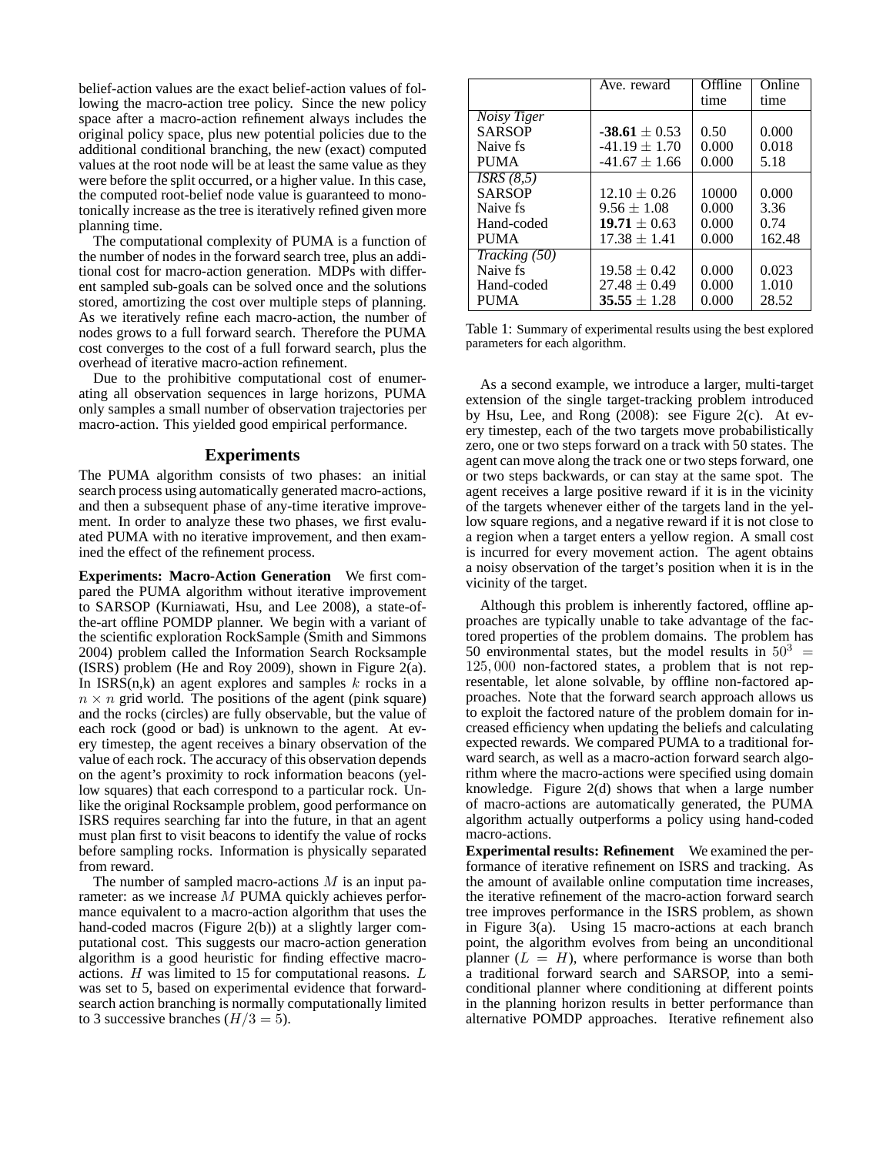belief-action values are the exact belief-action values of following the macro-action tree policy. Since the new policy space after a macro-action refinement always includes the original policy space, plus new potential policies due to the additional conditional branching, the new (exact) computed values at the root node will be at least the same value as they were before the split occurred, or a higher value. In this case, the computed root-belief node value is guaranteed to monotonically increase as the tree is iteratively refined given more planning time.

The computational complexity of PUMA is a function of the number of nodes in the forward search tree, plus an additional cost for macro-action generation. MDPs with different sampled sub-goals can be solved once and the solutions stored, amortizing the cost over multiple steps of planning. As we iteratively refine each macro-action, the number of nodes grows to a full forward search. Therefore the PUMA cost converges to the cost of a full forward search, plus the overhead of iterative macro-action refinement.

Due to the prohibitive computational cost of enumerating all observation sequences in large horizons, PUMA only samples a small number of observation trajectories per macro-action. This yielded good empirical performance.

#### **Experiments**

The PUMA algorithm consists of two phases: an initial search process using automatically generated macro-actions, and then a subsequent phase of any-time iterative improvement. In order to analyze these two phases, we first evaluated PUMA with no iterative improvement, and then examined the effect of the refinement process.

**Experiments: Macro-Action Generation** We first compared the PUMA algorithm without iterative improvement to SARSOP (Kurniawati, Hsu, and Lee 2008), a state-ofthe-art offline POMDP planner. We begin with a variant of the scientific exploration RockSample (Smith and Simmons 2004) problem called the Information Search Rocksample (ISRS) problem (He and Roy 2009), shown in Figure 2(a). In  $ISRS(n,k)$  an agent explores and samples k rocks in a  $n \times n$  grid world. The positions of the agent (pink square) and the rocks (circles) are fully observable, but the value of each rock (good or bad) is unknown to the agent. At every timestep, the agent receives a binary observation of the value of each rock. The accuracy of this observation depends on the agent's proximity to rock information beacons (yellow squares) that each correspond to a particular rock. Unlike the original Rocksample problem, good performance on ISRS requires searching far into the future, in that an agent must plan first to visit beacons to identify the value of rocks before sampling rocks. Information is physically separated from reward.

The number of sampled macro-actions  $M$  is an input parameter: as we increase M PUMA quickly achieves performance equivalent to a macro-action algorithm that uses the hand-coded macros (Figure 2(b)) at a slightly larger computational cost. This suggests our macro-action generation algorithm is a good heuristic for finding effective macroactions. H was limited to 15 for computational reasons. L was set to 5, based on experimental evidence that forwardsearch action branching is normally computationally limited to 3 successive branches  $(H/3 = 5)$ .

|               | Ave. reward       | Offline | Online |
|---------------|-------------------|---------|--------|
|               |                   | time    | time   |
| Noisy Tiger   |                   |         |        |
| <b>SARSOP</b> | $-38.61 \pm 0.53$ | 0.50    | 0.000  |
| Naive fs.     | $-41.19 \pm 1.70$ | 0.000   | 0.018  |
| <b>PUMA</b>   | $-41.67 \pm 1.66$ | 0.000   | 5.18   |
| ISRS(8,5)     |                   |         |        |
| <b>SARSOP</b> | $12.10 \pm 0.26$  | 10000   | 0.000  |
| Naive fs.     | $9.56 \pm 1.08$   | 0.000   | 3.36   |
| Hand-coded    | $19.71 \pm 0.63$  | 0.000   | 0.74   |
| <b>PUMA</b>   | $17.38 \pm 1.41$  | 0.000   | 162.48 |
| Tracking (50) |                   |         |        |
| Naive fs      | $19.58 \pm 0.42$  | 0.000   | 0.023  |
| Hand-coded    | $27.48 \pm 0.49$  | 0.000   | 1.010  |
| <b>PUMA</b>   | $35.55 \pm 1.28$  | 0.000   | 28.52  |

Table 1: Summary of experimental results using the best explored parameters for each algorithm.

As a second example, we introduce a larger, multi-target extension of the single target-tracking problem introduced by Hsu, Lee, and Rong (2008): see Figure 2(c). At every timestep, each of the two targets move probabilistically zero, one or two steps forward on a track with 50 states. The agent can move along the track one or two steps forward, one or two steps backwards, or can stay at the same spot. The agent receives a large positive reward if it is in the vicinity of the targets whenever either of the targets land in the yellow square regions, and a negative reward if it is not close to a region when a target enters a yellow region. A small cost is incurred for every movement action. The agent obtains a noisy observation of the target's position when it is in the vicinity of the target.

Although this problem is inherently factored, offline approaches are typically unable to take advantage of the factored properties of the problem domains. The problem has 50 environmental states, but the model results in  $50^3$  = 125, 000 non-factored states, a problem that is not representable, let alone solvable, by offline non-factored approaches. Note that the forward search approach allows us to exploit the factored nature of the problem domain for increased efficiency when updating the beliefs and calculating expected rewards. We compared PUMA to a traditional forward search, as well as a macro-action forward search algorithm where the macro-actions were specified using domain knowledge. Figure 2(d) shows that when a large number of macro-actions are automatically generated, the PUMA algorithm actually outperforms a policy using hand-coded macro-actions.

**Experimental results: Refinement** We examined the performance of iterative refinement on ISRS and tracking. As the amount of available online computation time increases, the iterative refinement of the macro-action forward search tree improves performance in the ISRS problem, as shown in Figure 3(a). Using 15 macro-actions at each branch point, the algorithm evolves from being an unconditional planner  $(L = H)$ , where performance is worse than both a traditional forward search and SARSOP, into a semiconditional planner where conditioning at different points in the planning horizon results in better performance than alternative POMDP approaches. Iterative refinement also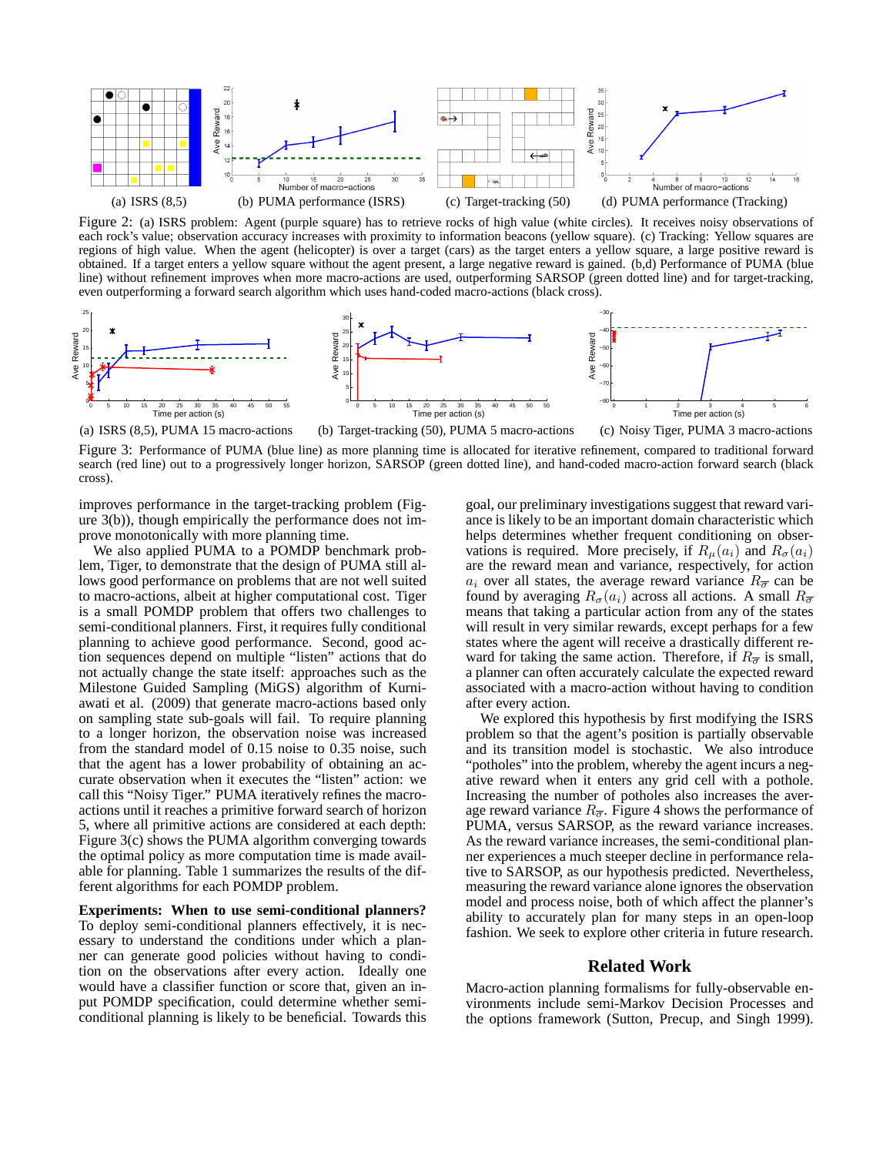

Figure 2: (a) ISRS problem: Agent (purple square) has to retrieve rocks of high value (white circles). It receives noisy observations of each rock's value; observation accuracy increases with proximity to information beacons (yellow square). (c) Tracking: Yellow squares are regions of high value. When the agent (helicopter) is over a target (cars) as the target enters a yellow square, a large positive reward is obtained. If a target enters a yellow square without the agent present, a large negative reward is gained. (b,d) Performance of PUMA (blue line) without refinement improves when more macro-actions are used, outperforming SARSOP (green dotted line) and for target-tracking, even outperforming a forward search algorithm which uses hand-coded macro-actions (black cross).



Figure 3: Performance of PUMA (blue line) as more planning time is allocated for iterative refinement, compared to traditional forward search (red line) out to a progressively longer horizon, SARSOP (green dotted line), and hand-coded macro-action forward search (black cross).

improves performance in the target-tracking problem (Figure 3(b)), though empirically the performance does not improve monotonically with more planning time.

We also applied PUMA to a POMDP benchmark problem, Tiger, to demonstrate that the design of PUMA still allows good performance on problems that are not well suited to macro-actions, albeit at higher computational cost. Tiger is a small POMDP problem that offers two challenges to semi-conditional planners. First, it requires fully conditional planning to achieve good performance. Second, good action sequences depend on multiple "listen" actions that do not actually change the state itself: approaches such as the Milestone Guided Sampling (MiGS) algorithm of Kurniawati et al. (2009) that generate macro-actions based only on sampling state sub-goals will fail. To require planning to a longer horizon, the observation noise was increased from the standard model of 0.15 noise to 0.35 noise, such that the agent has a lower probability of obtaining an accurate observation when it executes the "listen" action: we call this "Noisy Tiger." PUMA iteratively refines the macroactions until it reaches a primitive forward search of horizon 5, where all primitive actions are considered at each depth: Figure 3(c) shows the PUMA algorithm converging towards the optimal policy as more computation time is made available for planning. Table 1 summarizes the results of the different algorithms for each POMDP problem.

**Experiments: When to use semi-conditional planners?** To deploy semi-conditional planners effectively, it is necessary to understand the conditions under which a planner can generate good policies without having to condition on the observations after every action. Ideally one would have a classifier function or score that, given an input POMDP specification, could determine whether semiconditional planning is likely to be beneficial. Towards this

goal, our preliminary investigations suggest that reward variance is likely to be an important domain characteristic which helps determines whether frequent conditioning on observations is required. More precisely, if  $R_{\mu}(a_i)$  and  $R_{\sigma}(a_i)$ are the reward mean and variance, respectively, for action  $a_i$  over all states, the average reward variance  $R_{\overline{\sigma}}$  can be found by averaging  $R_{\sigma}(a_i)$  across all actions. A small  $R_{\overline{\sigma}}$ means that taking a particular action from any of the states will result in very similar rewards, except perhaps for a few states where the agent will receive a drastically different reward for taking the same action. Therefore, if  $R_{\overline{\sigma}}$  is small, a planner can often accurately calculate the expected reward associated with a macro-action without having to condition after every action.

We explored this hypothesis by first modifying the ISRS problem so that the agent's position is partially observable and its transition model is stochastic. We also introduce "potholes" into the problem, whereby the agent incurs a negative reward when it enters any grid cell with a pothole. Increasing the number of potholes also increases the average reward variance  $R_{\overline{\sigma}}$ . Figure 4 shows the performance of PUMA, versus SARSOP, as the reward variance increases. As the reward variance increases, the semi-conditional planner experiences a much steeper decline in performance relative to SARSOP, as our hypothesis predicted. Nevertheless, measuring the reward variance alone ignores the observation model and process noise, both of which affect the planner's ability to accurately plan for many steps in an open-loop fashion. We seek to explore other criteria in future research.

## **Related Work**

Macro-action planning formalisms for fully-observable environments include semi-Markov Decision Processes and the options framework (Sutton, Precup, and Singh 1999).